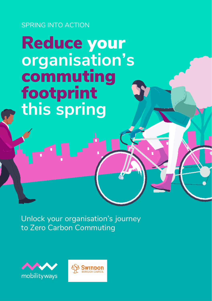SPRING INTO ACTION

# Reduce your **organisation's** commuting footprint **this spring**

Unlock your organisation's journey to Zero Carbon Commuting